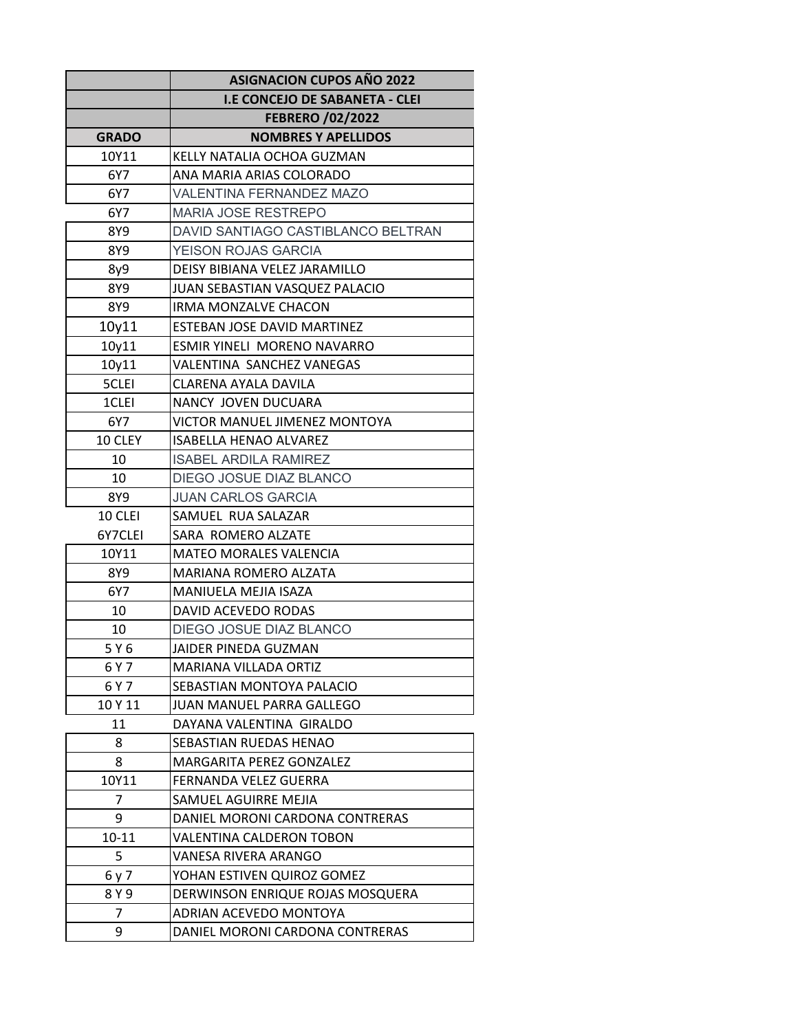|              | <b>ASIGNACION CUPOS AÑO 2022</b>      |
|--------------|---------------------------------------|
|              | <b>I.E CONCEJO DE SABANETA - CLEI</b> |
|              | <b>FEBRERO /02/2022</b>               |
| <b>GRADO</b> | <b>NOMBRES Y APELLIDOS</b>            |
| 10Y11        | KELLY NATALIA OCHOA GUZMAN            |
| 6Y7          | ANA MARIA ARIAS COLORADO              |
| 6Y7          | <b>VALENTINA FERNANDEZ MAZO</b>       |
| 6Y7          | <b>MARIA JOSE RESTREPO</b>            |
| 8Y9          | DAVID SANTIAGO CASTIBLANCO BELTRAN    |
| 8Y9          | YEISON ROJAS GARCIA                   |
| 8y9          | DEISY BIBIANA VELEZ JARAMILLO         |
| 8Y9          | JUAN SEBASTIAN VASQUEZ PALACIO        |
| 8Y9          | IRMA MONZALVE CHACON                  |
| 10y11        | <b>ESTEBAN JOSE DAVID MARTINEZ</b>    |
| 10y11        | ESMIR YINELI MORENO NAVARRO           |
| 10y11        | VALENTINA SANCHEZ VANEGAS             |
| 5CLEI        | CLARENA AYALA DAVILA                  |
| 1CLEI        | NANCY JOVEN DUCUARA                   |
| 6Y7          | VICTOR MANUEL JIMENEZ MONTOYA         |
| 10 CLEY      | <b>ISABELLA HENAO ALVAREZ</b>         |
| 10           | <b>ISABEL ARDILA RAMIREZ</b>          |
| 10           | DIEGO JOSUE DIAZ BLANCO               |
| 8Y9          | <b>JUAN CARLOS GARCIA</b>             |
| 10 CLEI      | SAMUEL RUA SALAZAR                    |
| 6Y7CLEI      | SARA ROMERO ALZATE                    |
| 10Y11        | <b>MATEO MORALES VALENCIA</b>         |
| 8Y9          | <b>MARIANA ROMERO ALZATA</b>          |
| 6Y7          | MANIUELA MEJIA ISAZA                  |
| 10           | DAVID ACEVEDO RODAS                   |
| 10           | DIEGO JOSUE DIAZ BLANCO               |
| 5 Y 6        | JAIDER PINEDA GUZMAN                  |
| 6 Y 7        | MARIANA VILLADA ORTIZ                 |
| 6 Y 7        | SEBASTIAN MONTOYA PALACIO             |
| 10 Y 11      | JUAN MANUEL PARRA GALLEGO             |
| 11           | DAYANA VALENTINA GIRALDO              |
| 8            | SEBASTIAN RUEDAS HENAO                |
| 8            | MARGARITA PEREZ GONZALEZ              |
| 10Y11        | FERNANDA VELEZ GUERRA                 |
| 7            | SAMUEL AGUIRRE MEJIA                  |
| 9            | DANIEL MORONI CARDONA CONTRERAS       |
| $10 - 11$    | VALENTINA CALDERON TOBON              |
| 5            | VANESA RIVERA ARANGO                  |
| 6 y 7        | YOHAN ESTIVEN QUIROZ GOMEZ            |
| 8 Y 9        | DERWINSON ENRIQUE ROJAS MOSQUERA      |
| 7            | ADRIAN ACEVEDO MONTOYA                |
| 9            | DANIEL MORONI CARDONA CONTRERAS       |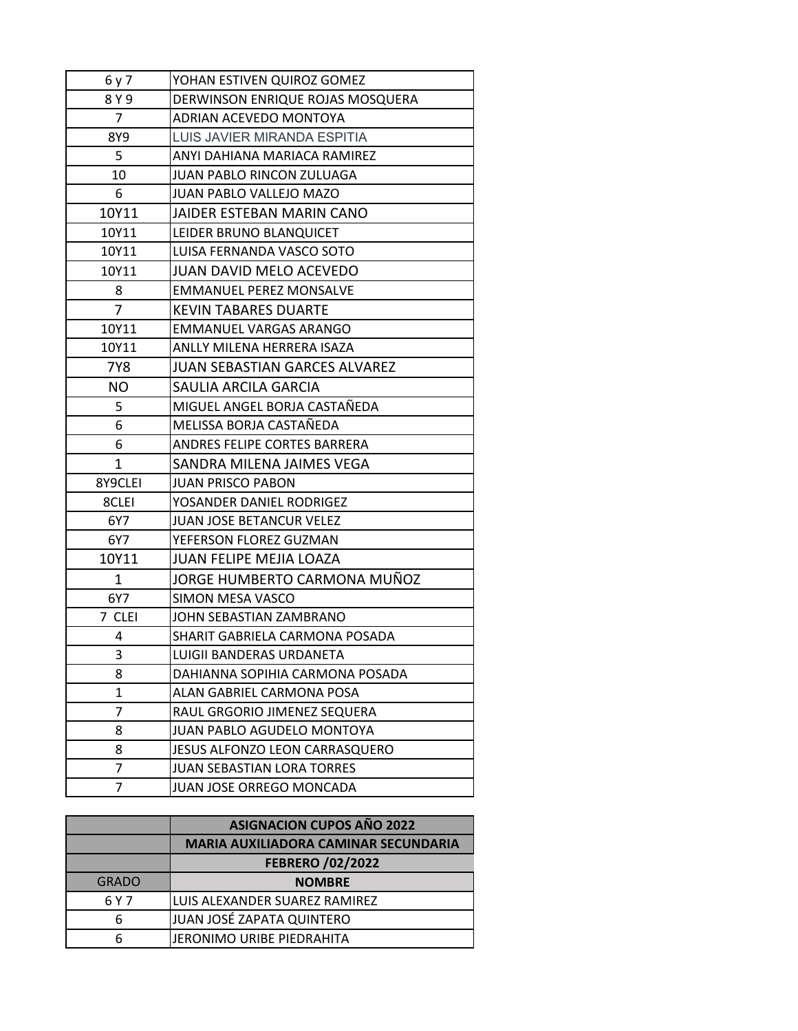| 6 y 7      | YOHAN ESTIVEN QUIROZ GOMEZ                             |
|------------|--------------------------------------------------------|
| 8 Y 9      | DERWINSON ENRIQUE ROJAS MOSQUERA                       |
| 7          | ADRIAN ACEVEDO MONTOYA                                 |
| 8Y9        | LUIS JAVIER MIRANDA ESPITIA                            |
| 5          | ANYI DAHIANA MARIACA RAMIREZ                           |
| 10         | JUAN PABLO RINCON ZULUAGA                              |
| 6          | JUAN PABLO VALLEJO MAZO                                |
| 10Y11      | JAIDER ESTEBAN MARIN CANO                              |
| 10Y11      | LEIDER BRUNO BLANQUICET                                |
| 10Y11      | LUISA FERNANDA VASCO SOTO                              |
| 10Y11      | <b>JUAN DAVID MELO ACEVEDO</b>                         |
| 8          | <b>EMMANUEL PEREZ MONSALVE</b>                         |
| 7          | <b>KEVIN TABARES DUARTE</b>                            |
| 10Y11      | EMMANUEL VARGAS ARANGO                                 |
| 10Y11      | ANLLY MILENA HERRERA ISAZA                             |
| <b>7Y8</b> | <b>JUAN SEBASTIAN GARCES ALVAREZ</b>                   |
| <b>NO</b>  | SAULIA ARCILA GARCIA                                   |
| 5          | MIGUEL ANGEL BORJA CASTAÑEDA                           |
| 6          | MELISSA BORJA CASTAÑEDA                                |
| 6          | ANDRES FELIPE CORTES BARRERA                           |
| 1          | SANDRA MILENA JAIMES VEGA                              |
| 8Y9CLEI    | <b>JUAN PRISCO PABON</b>                               |
| 8CLEI      | YOSANDER DANIEL RODRIGEZ                               |
| 6Y7        | <b>JUAN JOSE BETANCUR VELEZ</b>                        |
| 6Y7        | YEFERSON FLOREZ GUZMAN                                 |
| 10Y11      | JUAN FELIPE MEJIA LOAZA                                |
| 1          | JORGE HUMBERTO CARMONA MUÑOZ                           |
| 6Y7        | <b>SIMON MESA VASCO</b>                                |
| 7 CLEI     | JOHN SEBASTIAN ZAMBRANO                                |
| 4          | SHARIT GABRIELA CARMONA POSADA                         |
| 3          | LUIGII BANDERAS URDANETA                               |
| 8          | DAHIANNA SOPIHIA CARMONA POSADA                        |
| 1          | ALAN GABRIEL CARMONA POSA                              |
|            |                                                        |
| 7          | RAUL GRGORIO JIMENEZ SEQUERA                           |
| 8          | JUAN PABLO AGUDELO MONTOYA                             |
| 8          | JESUS ALFONZO LEON CARRASQUERO                         |
| 7<br>7     | JUAN SEBASTIAN LORA TORRES<br>JUAN JOSE ORREGO MONCADA |

|              | <b>ASIGNACION CUPOS AÑO 2022</b>            |
|--------------|---------------------------------------------|
|              | <b>MARIA AUXILIADORA CAMINAR SECUNDARIA</b> |
|              | <b>FEBRERO /02/2022</b>                     |
| <b>GRADO</b> | <b>NOMBRE</b>                               |
| 6 Y 7        | LUIS ALEXANDER SUAREZ RAMIREZ               |
| 6            | JUAN JOSÉ ZAPATA QUINTERO                   |
|              | JERONIMO URIBE PIEDRAHITA                   |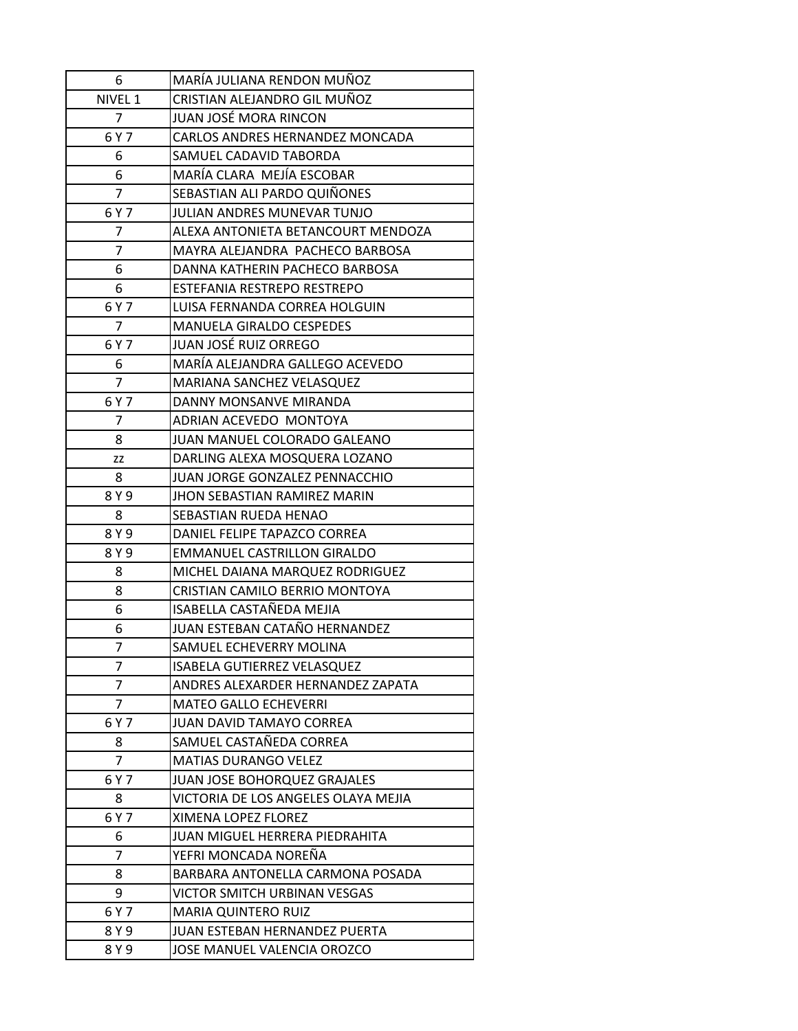| 6              | MARÍA JULIANA RENDON MUÑOZ          |
|----------------|-------------------------------------|
| NIVEL 1        | CRISTIAN ALEJANDRO GIL MUÑOZ        |
| 7              | JUAN JOSÉ MORA RINCON               |
| 6 Y 7          | CARLOS ANDRES HERNANDEZ MONCADA     |
| 6              | SAMUEL CADAVID TABORDA              |
| 6              | MARÍA CLARA MEJÍA ESCOBAR           |
| $\overline{7}$ | SEBASTIAN ALI PARDO QUIÑONES        |
| 6 Y 7          | JULIAN ANDRES MUNEVAR TUNJO         |
| 7              | ALEXA ANTONIETA BETANCOURT MENDOZA  |
| 7              | MAYRA ALEJANDRA PACHECO BARBOSA     |
| 6              | DANNA KATHERIN PACHECO BARBOSA      |
| 6              | ESTEFANIA RESTREPO RESTREPO         |
| 6 Y 7          | LUISA FERNANDA CORREA HOLGUIN       |
| 7              | <b>MANUELA GIRALDO CESPEDES</b>     |
| 6 Y 7          | <b>JUAN JOSÉ RUIZ ORREGO</b>        |
| 6              | MARÍA ALEJANDRA GALLEGO ACEVEDO     |
| $\overline{7}$ | MARIANA SANCHEZ VELASQUEZ           |
| 6 Y 7          | DANNY MONSANVE MIRANDA              |
| 7              | ADRIAN ACEVEDO MONTOYA              |
| 8              | JUAN MANUEL COLORADO GALEANO        |
| ΖZ             | DARLING ALEXA MOSQUERA LOZANO       |
| 8              | JUAN JORGE GONZALEZ PENNACCHIO      |
| 8 Y 9          | JHON SEBASTIAN RAMIREZ MARIN        |
| 8              | SEBASTIAN RUEDA HENAO               |
| 8 Y 9          | DANIEL FELIPE TAPAZCO CORREA        |
| 8 Y 9          | EMMANUEL CASTRILLON GIRALDO         |
| 8              | MICHEL DAIANA MARQUEZ RODRIGUEZ     |
| 8              | CRISTIAN CAMILO BERRIO MONTOYA      |
| 6              | ISABELLA CASTAÑEDA MEJIA            |
| 6              | JUAN ESTEBAN CATAÑO HERNANDEZ       |
| 7              | SAMUEL ECHEVERRY MOLINA             |
| 7              | ISABELA GUTIERREZ VELASQUEZ         |
| 7              | ANDRES ALEXARDER HERNANDEZ ZAPATA   |
| 7              | <b>MATEO GALLO ECHEVERRI</b>        |
| 6 Y 7          | <b>JUAN DAVID TAMAYO CORREA</b>     |
| 8              | SAMUEL CASTAÑEDA CORREA             |
| 7              | MATIAS DURANGO VELEZ                |
| 6 Y 7          | JUAN JOSE BOHORQUEZ GRAJALES        |
| 8              | VICTORIA DE LOS ANGELES OLAYA MEJIA |
| 6 Y 7          | XIMENA LOPEZ FLOREZ                 |
| 6              | JUAN MIGUEL HERRERA PIEDRAHITA      |
| 7              | YEFRI MONCADA NOREÑA                |
| 8              | BARBARA ANTONELLA CARMONA POSADA    |
| 9              | VICTOR SMITCH URBINAN VESGAS        |
| 6 Y 7          | <b>MARIA QUINTERO RUIZ</b>          |
| 8 Y 9          | JUAN ESTEBAN HERNANDEZ PUERTA       |
| 8 Y 9          | JOSE MANUEL VALENCIA OROZCO         |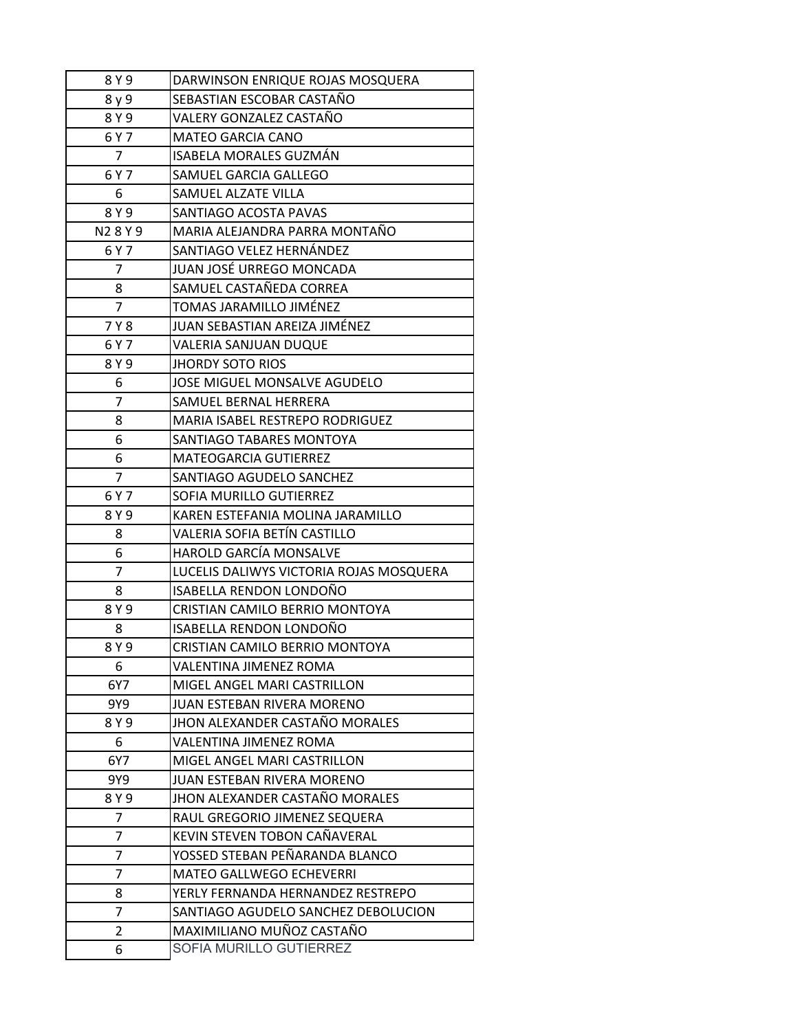| 8 Y 9          | DARWINSON ENRIQUE ROJAS MOSQUERA        |
|----------------|-----------------------------------------|
| 8 y 9          | SEBASTIAN ESCOBAR CASTAÑO               |
| 8 Y 9          | VALERY GONZALEZ CASTAÑO                 |
| 6 Y 7          | <b>MATEO GARCIA CANO</b>                |
| $\overline{7}$ | ISABELA MORALES GUZMÁN                  |
| 6 Y 7          | SAMUEL GARCIA GALLEGO                   |
| 6              | SAMUEL ALZATE VILLA                     |
| 8Y9            | SANTIAGO ACOSTA PAVAS                   |
| N28Y9          | MARIA ALEJANDRA PARRA MONTAÑO           |
| 6 Y 7          | SANTIAGO VELEZ HERNÁNDEZ                |
| 7              | JUAN JOSÉ URREGO MONCADA                |
| 8              | SAMUEL CASTAÑEDA CORREA                 |
| $\overline{7}$ | TOMAS JARAMILLO JIMÉNEZ                 |
| 7 Y 8          | JUAN SEBASTIAN AREIZA JIMÉNEZ           |
| 6 Y 7          | <b>VALERIA SANJUAN DUQUE</b>            |
| 8 Y 9          | <b>JHORDY SOTO RIOS</b>                 |
| 6              | JOSE MIGUEL MONSALVE AGUDELO            |
| $\overline{7}$ | SAMUEL BERNAL HERRERA                   |
| 8              | MARIA ISABEL RESTREPO RODRIGUEZ         |
| 6              | SANTIAGO TABARES MONTOYA                |
| 6              | MATEOGARCIA GUTIERREZ                   |
| $\overline{7}$ | SANTIAGO AGUDELO SANCHEZ                |
| 6 Y 7          | SOFIA MURILLO GUTIERREZ                 |
| 8 Y 9          | KAREN ESTEFANIA MOLINA JARAMILLO        |
| 8              | VALERIA SOFIA BETÍN CASTILLO            |
| 6              | <b>HAROLD GARCÍA MONSALVE</b>           |
| 7              | LUCELIS DALIWYS VICTORIA ROJAS MOSQUERA |
| 8              | ISABELLA RENDON LONDOÑO                 |
| 8 Y 9          | CRISTIAN CAMILO BERRIO MONTOYA          |
| 8              | ISABELLA RENDON LONDOÑO                 |
| 8 Y 9          | CRISTIAN CAMILO BERRIO MONTOYA          |
| 6              | VALENTINA JIMENEZ ROMA                  |
| 6Y7            | MIGEL ANGEL MARI CASTRILLON             |
| 9Y9            | JUAN ESTEBAN RIVERA MORENO              |
| 8 Y 9          | JHON ALEXANDER CASTAÑO MORALES          |
| 6              | <b>VALENTINA JIMENEZ ROMA</b>           |
| 6Y7            | MIGEL ANGEL MARI CASTRILLON             |
| 9Y9            | JUAN ESTEBAN RIVERA MORENO              |
| 8Y9            | JHON ALEXANDER CASTAÑO MORALES          |
| 7              | RAUL GREGORIO JIMENEZ SEQUERA           |
| 7              | KEVIN STEVEN TOBON CAÑAVERAL            |
| 7              | YOSSED STEBAN PEÑARANDA BLANCO          |
| 7              | MATEO GALLWEGO ECHEVERRI                |
| 8              | YERLY FERNANDA HERNANDEZ RESTREPO       |
| 7              | SANTIAGO AGUDELO SANCHEZ DEBOLUCION     |
| $\overline{2}$ | MAXIMILIANO MUÑOZ CASTAÑO               |
| 6              | SOFIA MURILLO GUTIERREZ                 |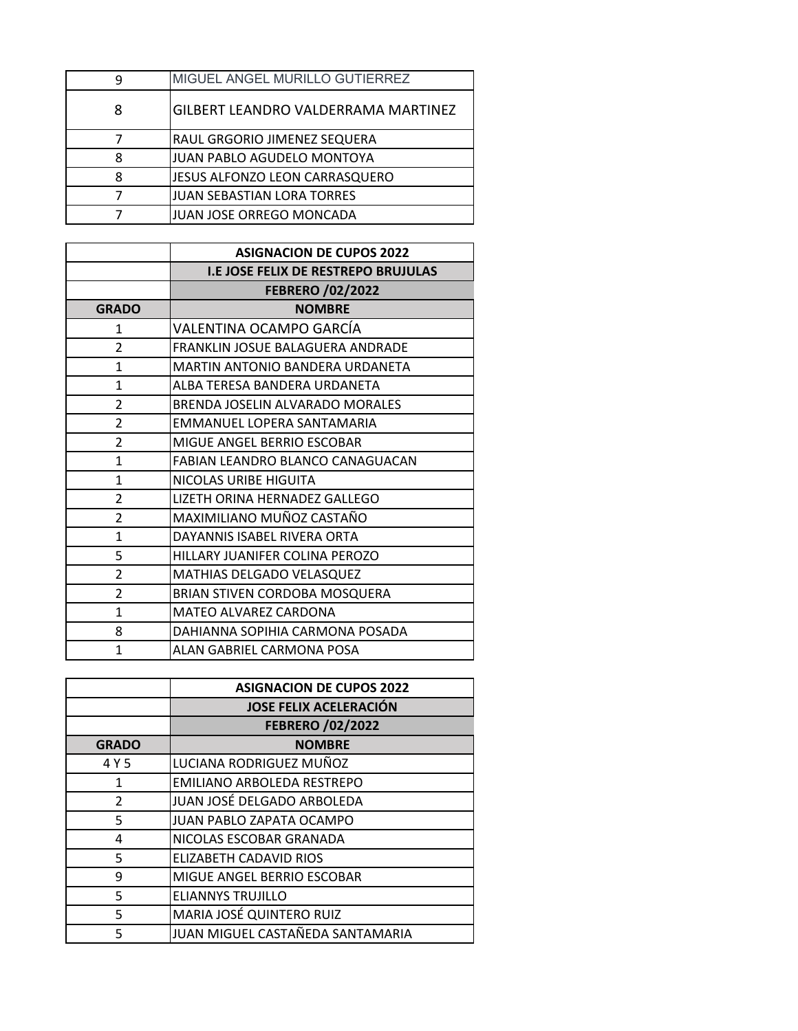| q | MIGUEL ANGEL MURILLO GUTIERREZ      |
|---|-------------------------------------|
| 8 | GILBERT LEANDRO VALDERRAMA MARTINEZ |
|   | RAUL GRGORIO JIMENEZ SEQUERA        |
| ጸ | JUAN PABLO AGUDELO MONTOYA          |
| я | JESUS ALFONZO LEON CARRASQUERO      |
|   | JUAN SEBASTIAN LORA TORRES          |
|   | JUAN JOSE ORREGO MONCADA            |

|                          | <b>ASIGNACION DE CUPOS 2022</b>            |
|--------------------------|--------------------------------------------|
|                          | <b>I.E JOSE FELIX DE RESTREPO BRUJULAS</b> |
|                          | <b>FEBRERO /02/2022</b>                    |
| <b>GRADO</b>             | <b>NOMBRE</b>                              |
| $\mathbf{1}$             | VALENTINA OCAMPO GARCÍA                    |
| $\overline{\mathcal{L}}$ | FRANKLIN JOSUE BALAGUERA ANDRADE           |
| $\mathbf{1}$             | MARTIN ANTONIO BANDERA URDANETA            |
| $\mathbf{1}$             | ALBA TERESA BANDERA URDANETA               |
| $\overline{\mathcal{L}}$ | BRENDA JOSELIN ALVARADO MORALES            |
| $\overline{\mathcal{L}}$ | EMMANUEL LOPERA SANTAMARIA                 |
| $\mathfrak{p}$           | MIGUE ANGEL BERRIO ESCOBAR                 |
| $\mathbf{1}$             | FABIAN LEANDRO BLANCO CANAGUACAN           |
| $\mathbf{1}$             | NICOLAS URIBE HIGUITA                      |
| $\mathfrak{p}$           | LIZETH ORINA HERNADEZ GALLEGO              |
| $\overline{\mathcal{L}}$ | MAXIMILIANO MUÑOZ CASTAÑO                  |
| $\mathbf{1}$             | DAYANNIS ISABEL RIVERA ORTA                |
| 5                        | HILLARY JUANIFER COLINA PEROZO             |
| $\mathfrak{p}$           | MATHIAS DELGADO VELASQUEZ                  |
| $\overline{\mathcal{L}}$ | BRIAN STIVEN CORDOBA MOSQUERA              |
| $\mathbf{1}$             | MATEO ALVAREZ CARDONA                      |
| 8                        | DAHIANNA SOPIHIA CARMONA POSADA            |
| 1                        | ALAN GABRIEL CARMONA POSA                  |

|              | <b>ASIGNACION DE CUPOS 2022</b>  |
|--------------|----------------------------------|
|              | <b>JOSE FELIX ACELERACIÓN</b>    |
|              | <b>FEBRERO /02/2022</b>          |
| <b>GRADO</b> | <b>NOMBRE</b>                    |
| 4 Y 5        | LUCIANA RODRIGUEZ MUÑOZ          |
| 1            | EMILIANO ARBOLEDA RESTREPO       |
| 2            | JUAN JOSÉ DELGADO ARBOLEDA       |
| 5            | JUAN PABLO ZAPATA OCAMPO         |
| 4            | NICOLAS ESCOBAR GRANADA          |
| 5            | ELIZABETH CADAVID RIOS           |
| 9            | MIGUE ANGEL BERRIO ESCOBAR       |
| 5            | <b>ELIANNYS TRUJILLO</b>         |
| 5            | MARIA JOSÉ QUINTERO RUIZ         |
| 5            | JUAN MIGUEL CASTAÑEDA SANTAMARIA |